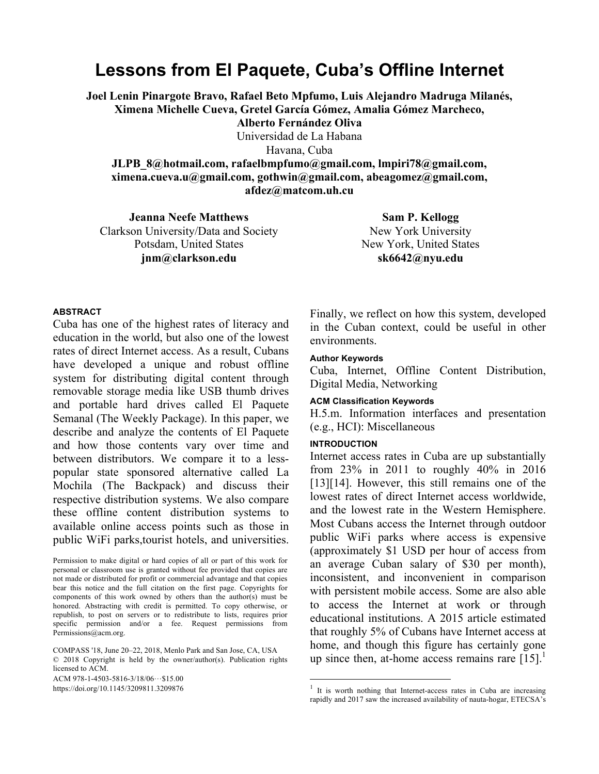# **Lessons from El Paquete, Cuba's Offline Internet**

**Joel Lenin Pinargote Bravo, Rafael Beto Mpfumo, Luis Alejandro Madruga Milanés, Ximena Michelle Cueva, Gretel García Gómez, Amalia Gómez Marcheco, Alberto Fernández Oliva**

Universidad de La Habana Havana, Cuba

**JLPB\_8@hotmail.com, rafaelbmpfumo@gmail.com, lmpiri78@gmail.com, ximena.cueva.u@gmail.com, gothwin@gmail.com, abeagomez@gmail.com, afdez@matcom.uh.cu**

**Jeanna Neefe Matthews** Clarkson University/Data and Society Potsdam, United States **jnm@clarkson.edu**

**Sam P. Kellogg** New York University New York, United States **sk6642@nyu.edu**

#### **ABSTRACT**

Cuba has one of the highest rates of literacy and education in the world, but also one of the lowest rates of direct Internet access. As a result, Cubans have developed a unique and robust offline system for distributing digital content through removable storage media like USB thumb drives and portable hard drives called El Paquete Semanal (The Weekly Package). In this paper, we describe and analyze the contents of El Paquete and how those contents vary over time and between distributors. We compare it to a lesspopular state sponsored alternative called La Mochila (The Backpack) and discuss their respective distribution systems. We also compare these offline content distribution systems to available online access points such as those in public WiFi parks,tourist hotels, and universities.

Permission to make digital or hard copies of all or part of this work for personal or classroom use is granted without fee provided that copies are not made or distributed for profit or commercial advantage and that copies bear this notice and the full citation on the first page. Copyrights for components of this work owned by others than the author(s) must be honored. Abstracting with credit is permitted. To copy otherwise, or republish, to post on servers or to redistribute to lists, requires prior specific permission and/or a fee. Request permissions from Permissions@acm.org.

COMPASS '18, June 20–22, 2018, Menlo Park and San Jose, CA, USA © 2018 Copyright is held by the owner/author(s). Publication rights licensed to ACM.

ACM 978-1-4503-5816-3/18/06 $\cdots$ \$15.00

https://doi.org/10.1145/3209811.3209876

Finally, we reflect on how this system, developed in the Cuban context, could be useful in other environments.

#### **Author Keywords**

Cuba, Internet, Offline Content Distribution, Digital Media, Networking

#### **ACM Classification Keywords**

H.5.m. Information interfaces and presentation (e.g., HCI): Miscellaneous

#### **INTRODUCTION**

Internet access rates in Cuba are up substantially from 23% in 2011 to roughly 40% in 2016 [13][14]. However, this still remains one of the lowest rates of direct Internet access worldwide, and the lowest rate in the Western Hemisphere. Most Cubans access the Internet through outdoor public WiFi parks where access is expensive (approximately \$1 USD per hour of access from an average Cuban salary of \$30 per month), inconsistent, and inconvenient in comparison with persistent mobile access. Some are also able to access the Internet at work or through educational institutions. A 2015 article estimated that roughly 5% of Cubans have Internet access at home, and though this figure has certainly gone up since then, at-home access remains rare  $[15]$ .<sup>1</sup>

 $1$  It is worth nothing that Internet-access rates in Cuba are increasing rapidly and 2017 saw the increased availability of nauta-hogar, ETECSA's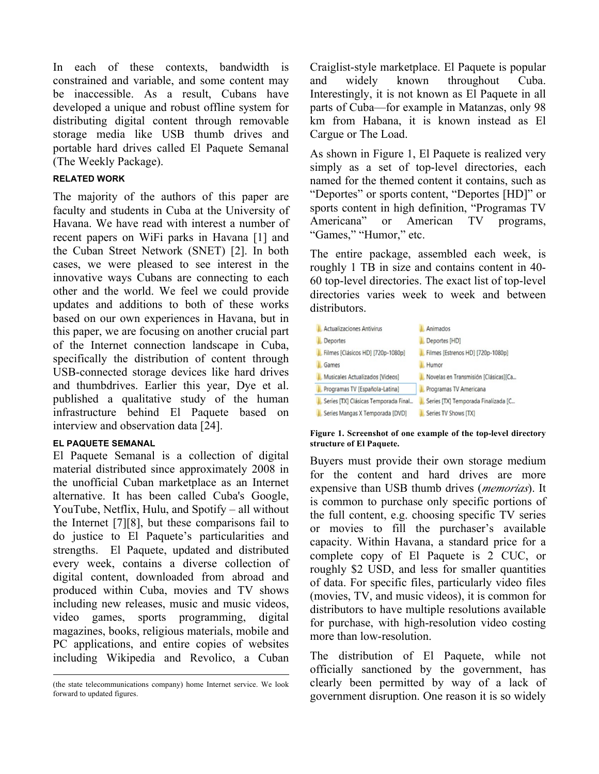In each of these contexts, bandwidth is constrained and variable, and some content may be inaccessible. As a result, Cubans have developed a unique and robust offline system for distributing digital content through removable storage media like USB thumb drives and portable hard drives called El Paquete Semanal (The Weekly Package).

# **RELATED WORK**

The majority of the authors of this paper are faculty and students in Cuba at the University of Havana. We have read with interest a number of recent papers on WiFi parks in Havana [1] and the Cuban Street Network (SNET) [2]. In both cases, we were pleased to see interest in the innovative ways Cubans are connecting to each other and the world. We feel we could provide updates and additions to both of these works based on our own experiences in Havana, but in this paper, we are focusing on another crucial part of the Internet connection landscape in Cuba, specifically the distribution of content through USB-connected storage devices like hard drives and thumbdrives. Earlier this year, Dye et al. published a qualitative study of the human infrastructure behind El Paquete based on interview and observation data [24].

# **EL PAQUETE SEMANAL**

El Paquete Semanal is a collection of digital material distributed since approximately 2008 in the unofficial Cuban marketplace as an Internet alternative. It has been called Cuba's Google, YouTube, Netflix, Hulu, and Spotify – all without the Internet [7][8], but these comparisons fail to do justice to El Paquete's particularities and strengths. El Paquete, updated and distributed every week, contains a diverse collection of digital content, downloaded from abroad and produced within Cuba, movies and TV shows including new releases, music and music videos, video games, sports programming, digital magazines, books, religious materials, mobile and PC applications, and entire copies of websites including Wikipedia and Revolico, a Cuban Craiglist-style marketplace. El Paquete is popular and widely known throughout Cuba. Interestingly, it is not known as El Paquete in all parts of Cuba—for example in Matanzas, only 98 km from Habana, it is known instead as El Cargue or The Load.

As shown in Figure 1, El Paquete is realized very simply as a set of top-level directories, each named for the themed content it contains, such as "Deportes" or sports content, "Deportes [HD]" or sports content in high definition, "Programas TV Americana" or American TV programs, "Games," "Humor," etc.

The entire package, assembled each week, is roughly 1 TB in size and contains content in 40- 60 top-level directories. The exact list of top-level directories varies week to week and between distributors.



**Figure 1. Screenshot of one example of the top-level directory structure of El Paquete.**

Buyers must provide their own storage medium for the content and hard drives are more expensive than USB thumb drives (*memorias*). It is common to purchase only specific portions of the full content, e.g. choosing specific TV series or movies to fill the purchaser's available capacity. Within Havana, a standard price for a complete copy of El Paquete is 2 CUC, or roughly \$2 USD, and less for smaller quantities of data. For specific files, particularly video files (movies, TV, and music videos), it is common for distributors to have multiple resolutions available for purchase, with high-resolution video costing more than low-resolution.

The distribution of El Paquete, while not officially sanctioned by the government, has clearly been permitted by way of a lack of government disruption. One reason it is so widely

 <sup>(</sup>the state telecommunications company) home Internet service. We look forward to updated figures.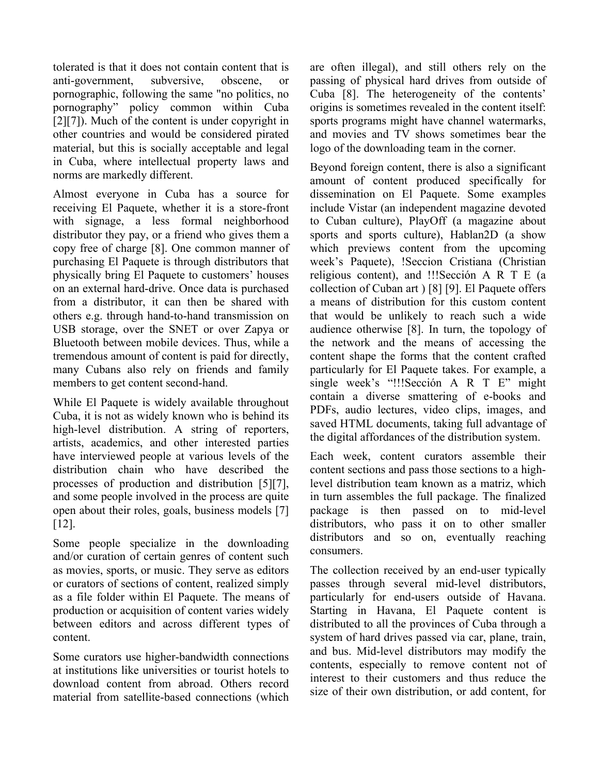tolerated is that it does not contain content that is anti-government, subversive, obscene, or pornographic, following the same "no politics, no pornography" policy common within Cuba [2][7]). Much of the content is under copyright in other countries and would be considered pirated material, but this is socially acceptable and legal in Cuba, where intellectual property laws and norms are markedly different.

Almost everyone in Cuba has a source for receiving El Paquete, whether it is a store-front with signage, a less formal neighborhood distributor they pay, or a friend who gives them a copy free of charge [8]. One common manner of purchasing El Paquete is through distributors that physically bring El Paquete to customers' houses on an external hard-drive. Once data is purchased from a distributor, it can then be shared with others e.g. through hand-to-hand transmission on USB storage, over the SNET or over Zapya or Bluetooth between mobile devices. Thus, while a tremendous amount of content is paid for directly, many Cubans also rely on friends and family members to get content second-hand.

While El Paquete is widely available throughout Cuba, it is not as widely known who is behind its high-level distribution. A string of reporters, artists, academics, and other interested parties have interviewed people at various levels of the distribution chain who have described the processes of production and distribution [5][7], and some people involved in the process are quite open about their roles, goals, business models [7] [12].

Some people specialize in the downloading and/or curation of certain genres of content such as movies, sports, or music. They serve as editors or curators of sections of content, realized simply as a file folder within El Paquete. The means of production or acquisition of content varies widely between editors and across different types of content.

Some curators use higher-bandwidth connections at institutions like universities or tourist hotels to download content from abroad. Others record material from satellite-based connections (which

are often illegal), and still others rely on the passing of physical hard drives from outside of Cuba [8]. The heterogeneity of the contents' origins is sometimes revealed in the content itself: sports programs might have channel watermarks, and movies and TV shows sometimes bear the logo of the downloading team in the corner.

Beyond foreign content, there is also a significant amount of content produced specifically for dissemination on El Paquete. Some examples include Vistar (an independent magazine devoted to Cuban culture), PlayOff (a magazine about sports and sports culture), Hablan2D (a show which previews content from the upcoming week's Paquete), !Seccion Cristiana (Christian religious content), and !!!Sección A R T E (a collection of Cuban art ) [8] [9]. El Paquete offers a means of distribution for this custom content that would be unlikely to reach such a wide audience otherwise [8]. In turn, the topology of the network and the means of accessing the content shape the forms that the content crafted particularly for El Paquete takes. For example, a single week's "!!!Sección A R T E" might contain a diverse smattering of e-books and PDFs, audio lectures, video clips, images, and saved HTML documents, taking full advantage of the digital affordances of the distribution system.

Each week, content curators assemble their content sections and pass those sections to a highlevel distribution team known as a matriz, which in turn assembles the full package. The finalized package is then passed on to mid-level distributors, who pass it on to other smaller distributors and so on, eventually reaching consumers.

The collection received by an end-user typically passes through several mid-level distributors, particularly for end-users outside of Havana. Starting in Havana, El Paquete content is distributed to all the provinces of Cuba through a system of hard drives passed via car, plane, train, and bus. Mid-level distributors may modify the contents, especially to remove content not of interest to their customers and thus reduce the size of their own distribution, or add content, for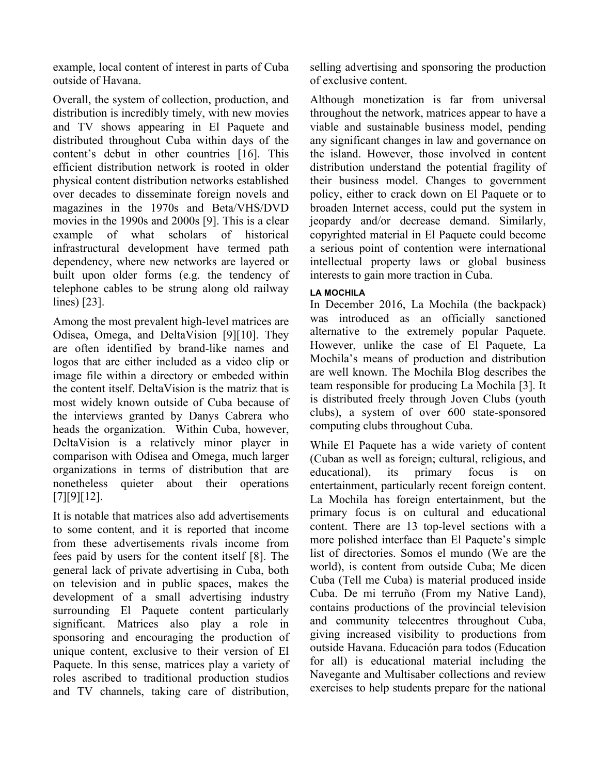example, local content of interest in parts of Cuba outside of Havana.

Overall, the system of collection, production, and distribution is incredibly timely, with new movies and TV shows appearing in El Paquete and distributed throughout Cuba within days of the content's debut in other countries [16]. This efficient distribution network is rooted in older physical content distribution networks established over decades to disseminate foreign novels and magazines in the 1970s and Beta/VHS/DVD movies in the 1990s and 2000s [9]. This is a clear example of what scholars of historical infrastructural development have termed path dependency, where new networks are layered or built upon older forms (e.g. the tendency of telephone cables to be strung along old railway lines) [23].

Among the most prevalent high-level matrices are Odisea, Omega, and DeltaVision [9][10]. They are often identified by brand-like names and logos that are either included as a video clip or image file within a directory or embeded within the content itself. DeltaVision is the matriz that is most widely known outside of Cuba because of the interviews granted by Danys Cabrera who heads the organization. Within Cuba, however, DeltaVision is a relatively minor player in comparison with Odisea and Omega, much larger organizations in terms of distribution that are nonetheless quieter about their operations [7][9][12].

It is notable that matrices also add advertisements to some content, and it is reported that income from these advertisements rivals income from fees paid by users for the content itself [8]. The general lack of private advertising in Cuba, both on television and in public spaces, makes the development of a small advertising industry surrounding El Paquete content particularly significant. Matrices also play a role in sponsoring and encouraging the production of unique content, exclusive to their version of El Paquete. In this sense, matrices play a variety of roles ascribed to traditional production studios and TV channels, taking care of distribution, selling advertising and sponsoring the production of exclusive content.

Although monetization is far from universal throughout the network, matrices appear to have a viable and sustainable business model, pending any significant changes in law and governance on the island. However, those involved in content distribution understand the potential fragility of their business model. Changes to government policy, either to crack down on El Paquete or to broaden Internet access, could put the system in jeopardy and/or decrease demand. Similarly, copyrighted material in El Paquete could become a serious point of contention were international intellectual property laws or global business interests to gain more traction in Cuba.

# **LA MOCHILA**

In December 2016, La Mochila (the backpack) was introduced as an officially sanctioned alternative to the extremely popular Paquete. However, unlike the case of El Paquete, La Mochila's means of production and distribution are well known. The Mochila Blog describes the team responsible for producing La Mochila [3]. It is distributed freely through Joven Clubs (youth clubs), a system of over 600 state-sponsored computing clubs throughout Cuba.

While El Paquete has a wide variety of content (Cuban as well as foreign; cultural, religious, and educational), its primary focus is on entertainment, particularly recent foreign content. La Mochila has foreign entertainment, but the primary focus is on cultural and educational content. There are 13 top-level sections with a more polished interface than El Paquete's simple list of directories. Somos el mundo (We are the world), is content from outside Cuba; Me dicen Cuba (Tell me Cuba) is material produced inside Cuba. De mi terruño (From my Native Land), contains productions of the provincial television and community telecentres throughout Cuba, giving increased visibility to productions from outside Havana. Educación para todos (Education for all) is educational material including the Navegante and Multisaber collections and review exercises to help students prepare for the national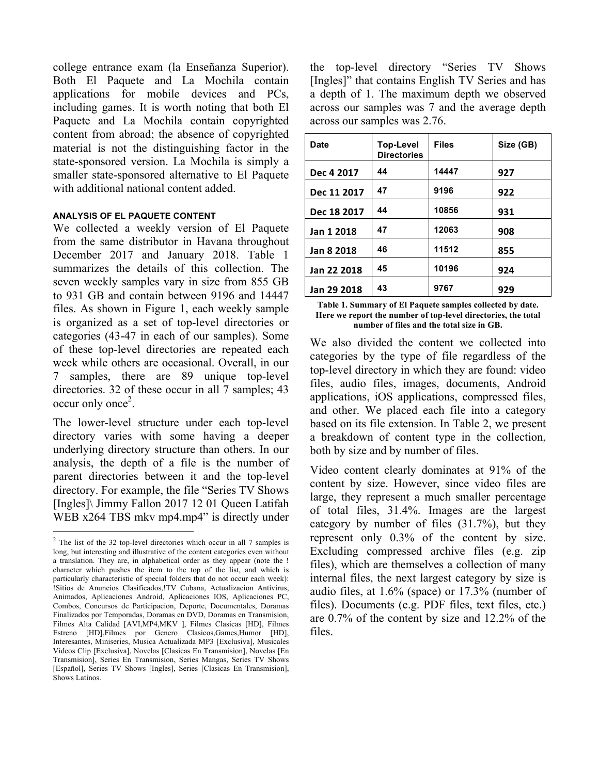college entrance exam (la Enseñanza Superior). Both El Paquete and La Mochila contain applications for mobile devices and PCs, including games. It is worth noting that both El Paquete and La Mochila contain copyrighted content from abroad; the absence of copyrighted material is not the distinguishing factor in the state-sponsored version. La Mochila is simply a smaller state-sponsored alternative to El Paquete with additional national content added.

## **ANALYSIS OF EL PAQUETE CONTENT**

We collected a weekly version of El Paquete from the same distributor in Havana throughout December 2017 and January 2018. Table 1 summarizes the details of this collection. The seven weekly samples vary in size from 855 GB to 931 GB and contain between 9196 and 14447 files. As shown in Figure 1, each weekly sample is organized as a set of top-level directories or categories (43-47 in each of our samples). Some of these top-level directories are repeated each week while others are occasional. Overall, in our 7 samples, there are 89 unique top-level directories. 32 of these occur in all 7 samples; 43  $\mathrm{occur}$  only  $\mathrm{once}^2$ .

The lower-level structure under each top-level directory varies with some having a deeper underlying directory structure than others. In our analysis, the depth of a file is the number of parent directories between it and the top-level directory. For example, the file "Series TV Shows [Ingles]\ Jimmy Fallon 2017 12 01 Queen Latifah WEB x264 TBS mkv mp4.mp4" is directly under

the top-level directory "Series TV Shows [Ingles]" that contains English TV Series and has a depth of 1. The maximum depth we observed across our samples was 7 and the average depth across our samples was 2.76.

| Date        | <b>Top-Level</b><br><b>Directories</b> | <b>Files</b> | Size (GB) |
|-------------|----------------------------------------|--------------|-----------|
| Dec 4 2017  | 44                                     | 14447        | 927       |
| Dec 11 2017 | 47                                     | 9196         | 922       |
| Dec 18 2017 | 44                                     | 10856        | 931       |
| Jan 1 2018  | 47                                     | 12063        | 908       |
| Jan 8 2018  | 46                                     | 11512        | 855       |
| Jan 22 2018 | 45                                     | 10196        | 924       |
| Jan 29 2018 | 43                                     | 9767         | 929       |

**Table 1. Summary of El Paquete samples collected by date. Here we report the number of top-level directories, the total number of files and the total size in GB.** 

We also divided the content we collected into categories by the type of file regardless of the top-level directory in which they are found: video files, audio files, images, documents, Android applications, iOS applications, compressed files, and other. We placed each file into a category based on its file extension. In Table 2, we present a breakdown of content type in the collection, both by size and by number of files.

Video content clearly dominates at 91% of the content by size. However, since video files are large, they represent a much smaller percentage of total files, 31.4%. Images are the largest category by number of files (31.7%), but they represent only 0.3% of the content by size. Excluding compressed archive files (e.g. zip files), which are themselves a collection of many internal files, the next largest category by size is audio files, at 1.6% (space) or 17.3% (number of files). Documents (e.g. PDF files, text files, etc.) are 0.7% of the content by size and 12.2% of the files.

 <sup>2</sup> The list of the 32 top-level directories which occur in all 7 samples is long, but interesting and illustrative of the content categories even without a translation. They are, in alphabetical order as they appear (note the ! character which pushes the item to the top of the list, and which is particularly characteristic of special folders that do not occur each week): !Sitios de Anuncios Clasificados,!TV Cubana, Actualizacion Antivirus, Animados, Aplicaciones Android, Aplicaciones IOS, Aplicaciones PC, Combos, Concursos de Participacion, Deporte, Documentales, Doramas Finalizados por Temporadas, Doramas en DVD, Doramas en Transmision, Filmes Alta Calidad [AVI,MP4,MKV ], Filmes Clasicas [HD], Filmes Estreno [HD],Filmes por Genero Clasicos,Games,Humor [HD], Interesantes, Miniseries, Musica Actualizada MP3 [Exclusiva], Musicales Videos Clip [Exclusiva], Novelas [Clasicas En Transmision], Novelas [En Transmision], Series En Transmision, Series Mangas, Series TV Shows [Español], Series TV Shows [Ingles], Series [Clasicas En Transmision], Shows Latinos.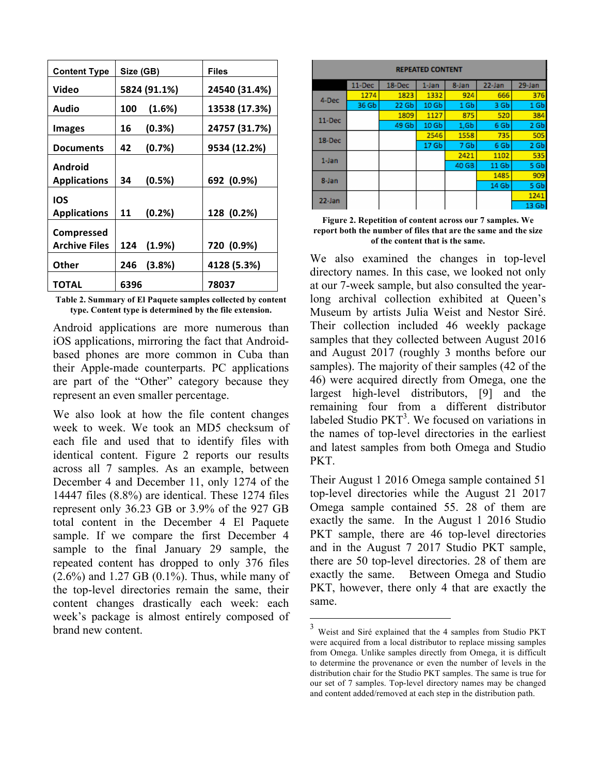| <b>Content Type</b>  | Size (GB)       | Files         |  |
|----------------------|-----------------|---------------|--|
| Video                | 5824 (91.1%)    | 24540 (31.4%) |  |
| Audio                | (1.6%)<br>100   | 13538 (17.3%) |  |
| <b>Images</b>        | $(0.3\%)$<br>16 | 24757 (31.7%) |  |
| <b>Documents</b>     | 42<br>(0.7%)    | 9534 (12.2%)  |  |
| Android              |                 |               |  |
| <b>Applications</b>  | (0.5%)<br>34    | 692 (0.9%)    |  |
| IOS                  |                 |               |  |
| <b>Applications</b>  | (0.2%)<br>11    | 128 (0.2%)    |  |
| <b>Compressed</b>    |                 |               |  |
| <b>Archive Files</b> | (1.9%)<br>124   | 720 (0.9%)    |  |
| Other                | (3.8%)<br>246   | 4128 (5.3%)   |  |
| TOTAL                | 6396            | 78037         |  |

**Table 2. Summary of El Paquete samples collected by content type. Content type is determined by the file extension.**

Android applications are more numerous than iOS applications, mirroring the fact that Androidbased phones are more common in Cuba than their Apple-made counterparts. PC applications are part of the "Other" category because they represent an even smaller percentage.

We also look at how the file content changes week to week. We took an MD5 checksum of each file and used that to identify files with identical content. Figure 2 reports our results across all 7 samples. As an example, between December 4 and December 11, only 1274 of the 14447 files (8.8%) are identical. These 1274 files represent only 36.23 GB or 3.9% of the 927 GB total content in the December 4 El Paquete sample. If we compare the first December 4 sample to the final January 29 sample, the repeated content has dropped to only 376 files  $(2.6\%)$  and 1.27 GB  $(0.1\%)$ . Thus, while many of the top-level directories remain the same, their content changes drastically each week: each week's package is almost entirely composed of brand new content.

| <b>REPEATED CONTENT</b> |        |        |                  |       |        |                 |
|-------------------------|--------|--------|------------------|-------|--------|-----------------|
|                         | 11-Dec | 18-Dec | 1-Jan            | 8-Jan | 22-Jan | 29-Jan          |
| 4-Dec                   | 1274   | 1823   | 1332             | 924   | 666    | 376             |
|                         | 36 Gb  | 22 Gb  | 10 <sub>6b</sub> | 1 Gb  | 3 Gb   | 1 <sub>6b</sub> |
| 11-Dec                  |        | 1809   | 1127             | 875   | 520    | 384             |
|                         |        | 49 Gb  | 10 <sub>6b</sub> | 1,6b  | 6 Gb   | 2 Gb            |
| 18-Dec                  |        |        | 2546             | 1558  | 735    | 505             |
|                         |        |        | 17 <sub>Gb</sub> | 7 Gb  | 6 Gb   | 2 Gb            |
| 1-Jan                   |        |        |                  | 2421  | 1102   | 535             |
|                         |        |        |                  | 40 GB | 11 Gb  | 5 Gb            |
| 8-Jan                   |        |        |                  |       | 1485   | 909             |
|                         |        |        |                  |       | 14 Gb  | 5 Gb            |
| 22-Jan                  |        |        |                  |       |        | 1241            |
|                         |        |        |                  |       |        | 13 Gb           |

**Figure 2. Repetition of content across our 7 samples. We report both the number of files that are the same and the size of the content that is the same.** 

We also examined the changes in top-level directory names. In this case, we looked not only at our 7-week sample, but also consulted the yearlong archival collection exhibited at Queen's Museum by artists Julia Weist and Nestor Siré. Their collection included 46 weekly package samples that they collected between August 2016 and August 2017 (roughly 3 months before our samples). The majority of their samples (42 of the 46) were acquired directly from Omega, one the largest high-level distributors, [9] and the remaining four from a different distributor labeled Studio  $PKT<sup>3</sup>$ . We focused on variations in the names of top-level directories in the earliest and latest samples from both Omega and Studio PKT.

Their August 1 2016 Omega sample contained 51 top-level directories while the August 21 2017 Omega sample contained 55. 28 of them are exactly the same. In the August 1 2016 Studio PKT sample, there are 46 top-level directories and in the August 7 2017 Studio PKT sample, there are 50 top-level directories. 28 of them are exactly the same. Between Omega and Studio PKT, however, there only 4 that are exactly the same.

<sup>&</sup>lt;sup>3</sup> Weist and Siré explained that the 4 samples from Studio PKT were acquired from a local distributor to replace missing samples from Omega. Unlike samples directly from Omega, it is difficult to determine the provenance or even the number of levels in the distribution chair for the Studio PKT samples. The same is true for our set of 7 samples. Top-level directory names may be changed and content added/removed at each step in the distribution path.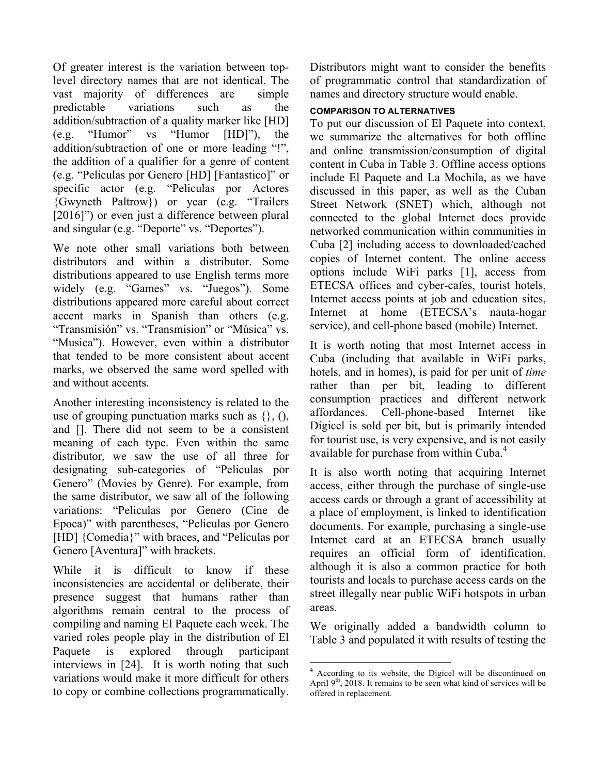Of greater interest is the variation between toplevel directory names that are not identical. The vast majority of differences are simple predictable variations such as the addition/subtraction of a quality marker like [HD] (e.g. "Humor" vs "Humor [HD]"), the addition/subtraction of one or more leading "!", the addition of a qualifier for a genre of content (e.g. "Peliculas por Genero [HD] [Fantastico]" or specific actor (e.g. "Peliculas por Actores {Gwyneth Paltrow}) or year (e.g. "Trailers [2016]") or even just a difference between plural and singular (e.g. "Deporte" vs. "Deportes").

We note other small variations both between distributors and within a distributor. Some distributions appeared to use English terms more widely (e.g. "Games" vs. "Juegos"). Some distributions appeared more careful about correct accent marks in Spanish than others (e.g. "Transmisión" vs. "Transmision" or "Música" vs. "Musica"). However, even within a distributor that tended to be more consistent about accent marks, we observed the same word spelled with and without accents.

Another interesting inconsistency is related to the use of grouping punctuation marks such as  $\{\},\,$  (), and []. There did not seem to be a consistent meaning of each type. Even within the same distributor, we saw the use of all three for designating sub-categories of "Peliculas por Genero" (Movies by Genre). For example, from the same distributor, we saw all of the following variations: "Peliculas por Genero (Cine de Epoca)" with parentheses, "Peliculas por Genero [HD] {Comedia}" with braces, and "Peliculas por Genero [Aventura]" with brackets.

While it is difficult to know if these inconsistencies are accidental or deliberate, their presence suggest that humans rather than algorithms remain central to the process of compiling and naming El Paquete each week. The varied roles people play in the distribution of El Paquete is explored through participant interviews in [24]. It is worth noting that such variations would make it more difficult for others to copy or combine collections programmatically.

Distributors might want to consider the benefits of programmatic control that standardization of names and directory structure would enable.

# **COMPARISON TO ALTERNATIVES**

To put our discussion of El Paquete into context, we summarize the alternatives for both offline and online transmission/consumption of digital content in Cuba in Table 3. Offline access options include El Paquete and La Mochila, as we have discussed in this paper, as well as the Cuban Street Network (SNET) which, although not connected to the global Internet does provide networked communication within communities in Cuba [2] including access to downloaded/cached copies of Internet content. The online access options include WiFi parks [1], access from ETECSA offices and cyber-cafes, tourist hotels, Internet access points at job and education sites, Internet at home (ETECSA's nauta-hogar service), and cell-phone based (mobile) Internet.

It is worth noting that most Internet access in Cuba (including that available in WiFi parks, hotels, and in homes), is paid for per unit of *time* rather than per bit, leading to different consumption practices and different network affordances. Cell-phone-based Internet like Digicel is sold per bit, but is primarily intended for tourist use, is very expensive, and is not easily available for purchase from within Cuba.<sup>4</sup>

It is also worth noting that acquiring Internet access, either through the purchase of single-use access cards or through a grant of accessibility at a place of employment, is linked to identification documents. For example, purchasing a single-use Internet card at an ETECSA branch usually requires an official form of identification, although it is also a common practice for both tourists and locals to purchase access cards on the street illegally near public WiFi hotspots in urban areas.

We originally added a bandwidth column to Table 3 and populated it with results of testing the

 $\frac{1}{4}$  According to its website, the Digicel will be discontinued on April  $9<sup>th</sup>$ , 2018. It remains to be seen what kind of services will be offered in replacement.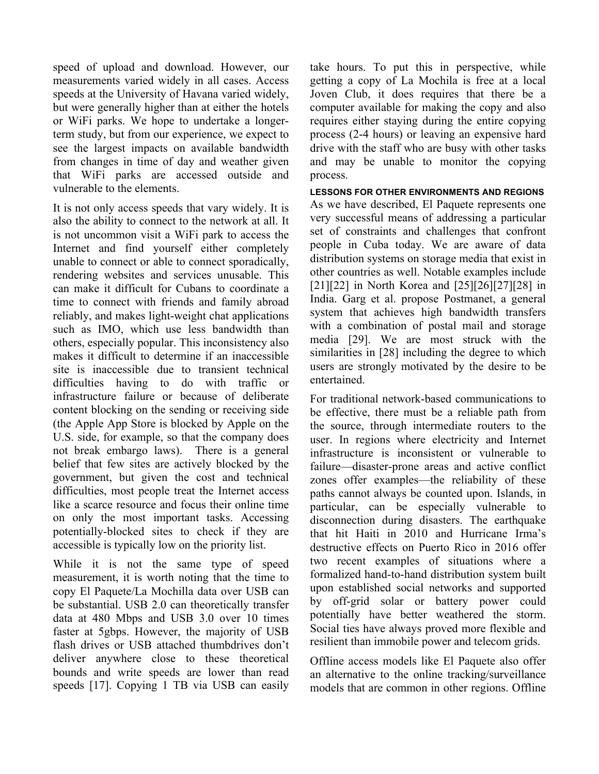speed of upload and download. However, our measurements varied widely in all cases. Access speeds at the University of Havana varied widely, but were generally higher than at either the hotels or WiFi parks. We hope to undertake a longerterm study, but from our experience, we expect to see the largest impacts on available bandwidth from changes in time of day and weather given that WiFi parks are accessed outside and vulnerable to the elements.

It is not only access speeds that vary widely. It is also the ability to connect to the network at all. It is not uncommon visit a WiFi park to access the Internet and find yourself either completely unable to connect or able to connect sporadically, rendering websites and services unusable. This can make it difficult for Cubans to coordinate a time to connect with friends and family abroad reliably, and makes light-weight chat applications such as IMO, which use less bandwidth than others, especially popular. This inconsistency also makes it difficult to determine if an inaccessible site is inaccessible due to transient technical difficulties having to do with traffic or infrastructure failure or because of deliberate content blocking on the sending or receiving side (the Apple App Store is blocked by Apple on the U.S. side, for example, so that the company does not break embargo laws). There is a general belief that few sites are actively blocked by the government, but given the cost and technical difficulties, most people treat the Internet access like a scarce resource and focus their online time on only the most important tasks. Accessing potentially-blocked sites to check if they are accessible is typically low on the priority list.

While it is not the same type of speed measurement, it is worth noting that the time to copy El Paquete/La Mochilla data over USB can be substantial. USB 2.0 can theoretically transfer data at 480 Mbps and USB 3.0 over 10 times faster at 5gbps. However, the majority of USB flash drives or USB attached thumbdrives don't deliver anywhere close to these theoretical bounds and write speeds are lower than read speeds [17]. Copying 1 TB via USB can easily

take hours. To put this in perspective, while getting a copy of La Mochila is free at a local Joven Club, it does requires that there be a computer available for making the copy and also requires either staying during the entire copying process (2-4 hours) or leaving an expensive hard drive with the staff who are busy with other tasks and may be unable to monitor the copying process.

**LESSONS FOR OTHER ENVIRONMENTS AND REGIONS** As we have described, El Paquete represents one very successful means of addressing a particular set of constraints and challenges that confront people in Cuba today. We are aware of data distribution systems on storage media that exist in other countries as well. Notable examples include [21][22] in North Korea and [25][26][27][28] in India. Garg et al. propose Postmanet, a general system that achieves high bandwidth transfers with a combination of postal mail and storage media [29]. We are most struck with the similarities in [28] including the degree to which users are strongly motivated by the desire to be entertained.

For traditional network-based communications to be effective, there must be a reliable path from the source, through intermediate routers to the user. In regions where electricity and Internet infrastructure is inconsistent or vulnerable to failure—disaster-prone areas and active conflict zones offer examples—the reliability of these paths cannot always be counted upon. Islands, in particular, can be especially vulnerable to disconnection during disasters. The earthquake that hit Haiti in 2010 and Hurricane Irma's destructive effects on Puerto Rico in 2016 offer two recent examples of situations where a formalized hand-to-hand distribution system built upon established social networks and supported by off-grid solar or battery power could potentially have better weathered the storm. Social ties have always proved more flexible and resilient than immobile power and telecom grids.

Offline access models like El Paquete also offer an alternative to the online tracking/surveillance models that are common in other regions. Offline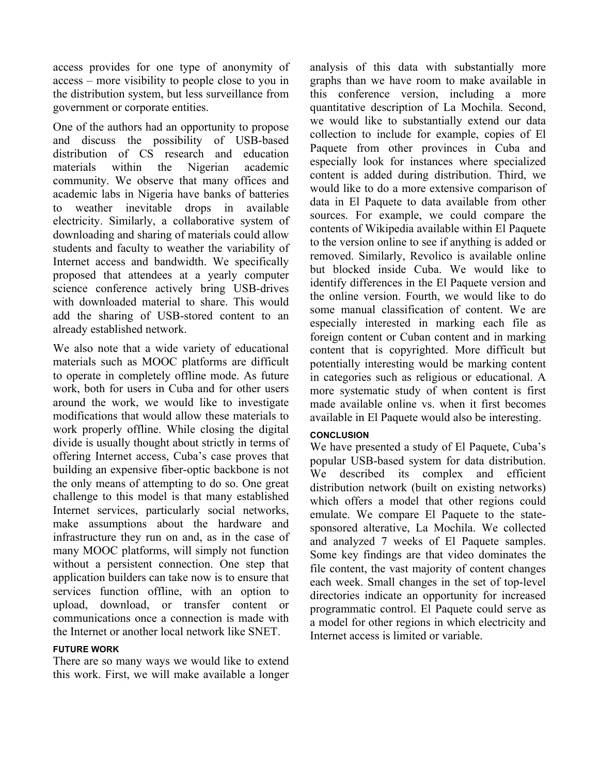access provides for one type of anonymity of access – more visibility to people close to you in the distribution system, but less surveillance from government or corporate entities.

One of the authors had an opportunity to propose and discuss the possibility of USB-based distribution of CS research and education materials within the Nigerian academic community. We observe that many offices and academic labs in Nigeria have banks of batteries to weather inevitable drops in available electricity. Similarly, a collaborative system of downloading and sharing of materials could allow students and faculty to weather the variability of Internet access and bandwidth. We specifically proposed that attendees at a yearly computer science conference actively bring USB-drives with downloaded material to share. This would add the sharing of USB-stored content to an already established network.

We also note that a wide variety of educational materials such as MOOC platforms are difficult to operate in completely offline mode. As future work, both for users in Cuba and for other users around the work, we would like to investigate modifications that would allow these materials to work properly offline. While closing the digital divide is usually thought about strictly in terms of offering Internet access, Cuba's case proves that building an expensive fiber-optic backbone is not the only means of attempting to do so. One great challenge to this model is that many established Internet services, particularly social networks, make assumptions about the hardware and infrastructure they run on and, as in the case of many MOOC platforms, will simply not function without a persistent connection. One step that application builders can take now is to ensure that services function offline, with an option to upload, download, or transfer content or communications once a connection is made with the Internet or another local network like SNET.

## **FUTURE WORK**

There are so many ways we would like to extend this work. First, we will make available a longer analysis of this data with substantially more graphs than we have room to make available in this conference version, including a more quantitative description of La Mochila. Second, we would like to substantially extend our data collection to include for example, copies of El Paquete from other provinces in Cuba and especially look for instances where specialized content is added during distribution. Third, we would like to do a more extensive comparison of data in El Paquete to data available from other sources. For example, we could compare the contents of Wikipedia available within El Paquete to the version online to see if anything is added or removed. Similarly, Revolico is available online but blocked inside Cuba. We would like to identify differences in the El Paquete version and the online version. Fourth, we would like to do some manual classification of content. We are especially interested in marking each file as foreign content or Cuban content and in marking content that is copyrighted. More difficult but potentially interesting would be marking content in categories such as religious or educational. A more systematic study of when content is first made available online vs. when it first becomes available in El Paquete would also be interesting.

## **CONCLUSION**

We have presented a study of El Paquete, Cuba's popular USB-based system for data distribution. We described its complex and efficient distribution network (built on existing networks) which offers a model that other regions could emulate. We compare El Paquete to the statesponsored alterative, La Mochila. We collected and analyzed 7 weeks of El Paquete samples. Some key findings are that video dominates the file content, the vast majority of content changes each week. Small changes in the set of top-level directories indicate an opportunity for increased programmatic control. El Paquete could serve as a model for other regions in which electricity and Internet access is limited or variable.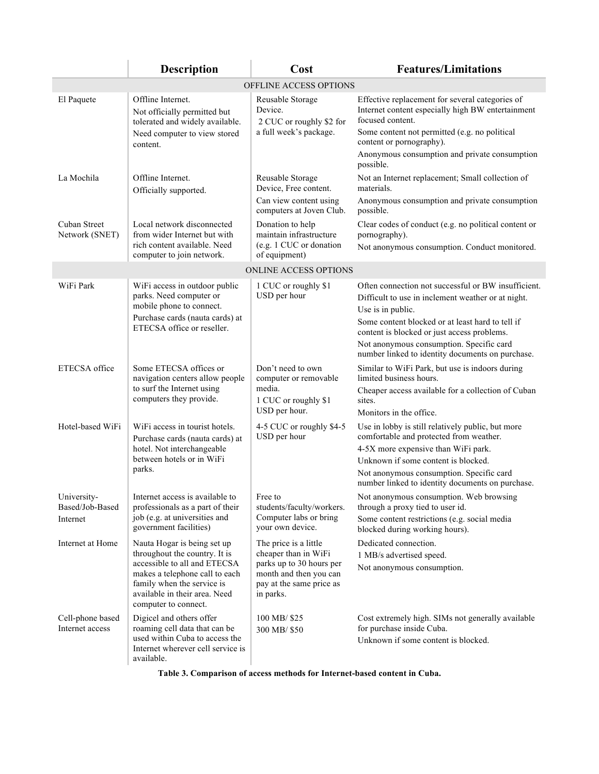|                                     | <b>Description</b>                                                                                                            | Cost                                                                                        | <b>Features/Limitations</b>                                                                                              |
|-------------------------------------|-------------------------------------------------------------------------------------------------------------------------------|---------------------------------------------------------------------------------------------|--------------------------------------------------------------------------------------------------------------------------|
|                                     |                                                                                                                               | OFFLINE ACCESS OPTIONS                                                                      |                                                                                                                          |
| El Paquete                          | Offline Internet.<br>Not officially permitted but<br>tolerated and widely available.                                          | Reusable Storage<br>Device.<br>2 CUC or roughly \$2 for<br>a full week's package.           | Effective replacement for several categories of<br>Internet content especially high BW entertainment<br>focused content. |
|                                     | Need computer to view stored<br>content.                                                                                      |                                                                                             | Some content not permitted (e.g. no political<br>content or pornography).                                                |
|                                     |                                                                                                                               |                                                                                             | Anonymous consumption and private consumption<br>possible.                                                               |
| La Mochila                          | Offline Internet.<br>Officially supported.                                                                                    | Reusable Storage<br>Device, Free content.                                                   | Not an Internet replacement; Small collection of<br>materials.                                                           |
|                                     |                                                                                                                               | Can view content using<br>computers at Joven Club.                                          | Anonymous consumption and private consumption<br>possible.                                                               |
| Cuban Street<br>Network (SNET)      | Local network disconnected<br>from wider Internet but with                                                                    | Donation to help<br>maintain infrastructure                                                 | Clear codes of conduct (e.g. no political content or<br>pornography).                                                    |
|                                     | rich content available. Need<br>computer to join network.                                                                     | (e.g. 1 CUC or donation<br>of equipment)                                                    | Not anonymous consumption. Conduct monitored.                                                                            |
|                                     |                                                                                                                               | ONLINE ACCESS OPTIONS                                                                       |                                                                                                                          |
| WiFi Park                           | WiFi access in outdoor public                                                                                                 | 1 CUC or roughly \$1<br>USD per hour                                                        | Often connection not successful or BW insufficient.                                                                      |
|                                     | parks. Need computer or<br>mobile phone to connect.                                                                           |                                                                                             | Difficult to use in inclement weather or at night.<br>Use is in public.                                                  |
|                                     | Purchase cards (nauta cards) at<br>ETECSA office or reseller.                                                                 |                                                                                             | Some content blocked or at least hard to tell if<br>content is blocked or just access problems.                          |
|                                     |                                                                                                                               |                                                                                             | Not anonymous consumption. Specific card<br>number linked to identity documents on purchase.                             |
| ETECSA office                       | Some ETECSA offices or<br>navigation centers allow people                                                                     | Don't need to own<br>computer or removable<br>media.<br>1 CUC or roughly \$1                | Similar to WiFi Park, but use is indoors during<br>limited business hours.                                               |
|                                     | to surf the Internet using<br>computers they provide.                                                                         |                                                                                             | Cheaper access available for a collection of Cuban<br>sites.                                                             |
|                                     |                                                                                                                               | USD per hour.                                                                               | Monitors in the office.                                                                                                  |
| Hotel-based WiFi                    | WiFi access in tourist hotels.<br>Purchase cards (nauta cards) at                                                             | 4-5 CUC or roughly \$4-5<br>USD per hour                                                    | Use in lobby is still relatively public, but more<br>comfortable and protected from weather.                             |
|                                     | hotel. Not interchangeable<br>between hotels or in WiFi                                                                       |                                                                                             | 4-5X more expensive than WiFi park.<br>Unknown if some content is blocked.                                               |
|                                     | parks.                                                                                                                        |                                                                                             | Not anonymous consumption. Specific card<br>number linked to identity documents on purchase.                             |
| University-<br>Based/Job-Based      | Internet access is available to<br>professionals as a part of their                                                           | Free to<br>students/faculty/workers.                                                        | Not anonymous consumption. Web browsing<br>through a proxy tied to user id.                                              |
| Internet                            | job (e.g. at universities and<br>government facilities)                                                                       | Computer labs or bring<br>your own device.                                                  | Some content restrictions (e.g. social media<br>blocked during working hours).                                           |
| Internet at Home                    | Nauta Hogar is being set up<br>throughout the country. It is                                                                  | The price is a little<br>cheaper than in WiFi                                               | Dedicated connection.<br>1 MB/s advertised speed.                                                                        |
|                                     | accessible to all and ETECSA<br>makes a telephone call to each<br>family when the service is<br>available in their area. Need | parks up to 30 hours per<br>month and then you can<br>pay at the same price as<br>in parks. | Not anonymous consumption.                                                                                               |
|                                     | computer to connect.                                                                                                          |                                                                                             |                                                                                                                          |
| Cell-phone based<br>Internet access | Digicel and others offer<br>roaming cell data that can be                                                                     | 100 MB/\$25<br>300 MB/ \$50                                                                 | Cost extremely high. SIMs not generally available<br>for purchase inside Cuba.                                           |
|                                     | used within Cuba to access the<br>Internet wherever cell service is<br>available.                                             |                                                                                             | Unknown if some content is blocked.                                                                                      |

**Table 3. Comparison of access methods for Internet-based content in Cuba.**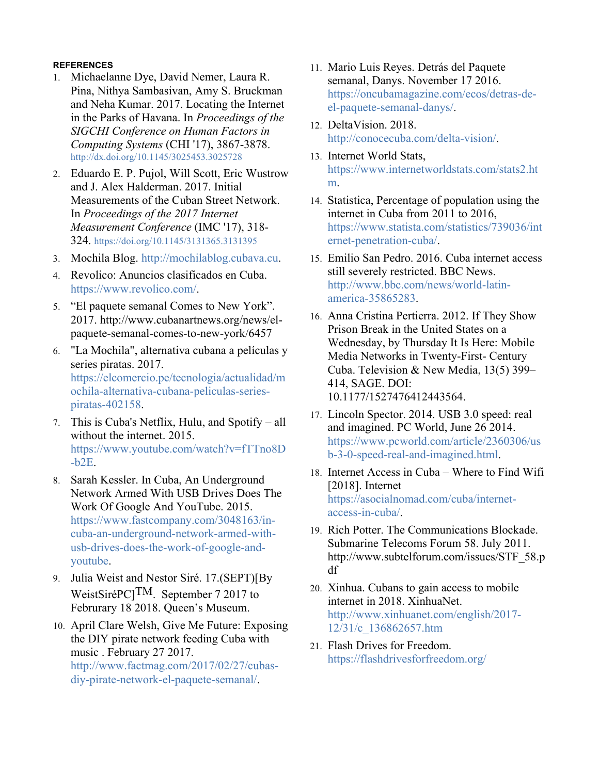## **REFERENCES**

- 1. Michaelanne Dye, David Nemer, Laura R. Pina, Nithya Sambasivan, Amy S. Bruckman and Neha Kumar. 2017. Locating the Internet in the Parks of Havana. In *Proceedings of the SIGCHI Conference on Human Factors in Computing Systems* (CHI '17), 3867-3878. http://dx.doi.org/10.1145/3025453.3025728
- 2. Eduardo E. P. Pujol, Will Scott, Eric Wustrow and J. Alex Halderman. 2017. Initial Measurements of the Cuban Street Network. In *Proceedings of the 2017 Internet Measurement Conference* (IMC '17), 318- 324. https://doi.org/10.1145/3131365.3131395
- 3. Mochila Blog. http://mochilablog.cubava.cu.
- 4. Revolico: Anuncios clasificados en Cuba. https://www.revolico.com/.
- 5. "El paquete semanal Comes to New York". 2017. http://www.cubanartnews.org/news/elpaquete-semanal-comes-to-new-york/6457
- 6. "La Mochila", alternativa cubana a películas y series piratas. 2017. https://elcomercio.pe/tecnologia/actualidad/m ochila-alternativa-cubana-peliculas-seriespiratas-402158.
- 7. This is Cuba's Netflix, Hulu, and Spotify all without the internet. 2015. https://www.youtube.com/watch?v=fTTno8D -b2E.
- 8. Sarah Kessler. In Cuba, An Underground Network Armed With USB Drives Does The Work Of Google And YouTube. 2015. https://www.fastcompany.com/3048163/incuba-an-underground-network-armed-withusb-drives-does-the-work-of-google-andyoutube.
- 9. Julia Weist and Nestor Siré. 17.(SEPT)[By WeistSiréPC]<sup>TM</sup>. September 7 2017 to Februrary 18 2018. Queen's Museum.
- 10. April Clare Welsh, Give Me Future: Exposing the DIY pirate network feeding Cuba with music . February 27 2017.

http://www.factmag.com/2017/02/27/cubasdiy-pirate-network-el-paquete-semanal/.

- 11. Mario Luis Reyes. Detrás del Paquete semanal, Danys. November 17 2016. https://oncubamagazine.com/ecos/detras-deel-paquete-semanal-danys/.
- 12. DeltaVision. 2018. http://conocecuba.com/delta-vision/.
- 13. Internet World Stats, https://www.internetworldstats.com/stats2.ht m.
- 14. Statistica, Percentage of population using the internet in Cuba from 2011 to 2016, https://www.statista.com/statistics/739036/int ernet-penetration-cuba/.
- 15. Emilio San Pedro. 2016. Cuba internet access still severely restricted. BBC News. http://www.bbc.com/news/world-latinamerica-35865283.
- 16. Anna Cristina Pertierra. 2012. If They Show Prison Break in the United States on a Wednesday, by Thursday It Is Here: Mobile Media Networks in Twenty-First- Century Cuba. Television & New Media, 13(5) 399– 414, SAGE. DOI: 10.1177/1527476412443564.
- 17. Lincoln Spector. 2014. USB 3.0 speed: real and imagined. PC World, June 26 2014. https://www.pcworld.com/article/2360306/us b-3-0-speed-real-and-imagined.html.
- 18. Internet Access in Cuba Where to Find Wifi [2018]. Internet https://asocialnomad.com/cuba/internetaccess-in-cuba/.
- 19. Rich Potter. The Communications Blockade. Submarine Telecoms Forum 58. July 2011. http://www.subtelforum.com/issues/STF\_58.p df
- 20. Xinhua. Cubans to gain access to mobile internet in 2018. XinhuaNet. http://www.xinhuanet.com/english/2017- 12/31/c\_136862657.htm
- 21. Flash Drives for Freedom. https://flashdrivesforfreedom.org/